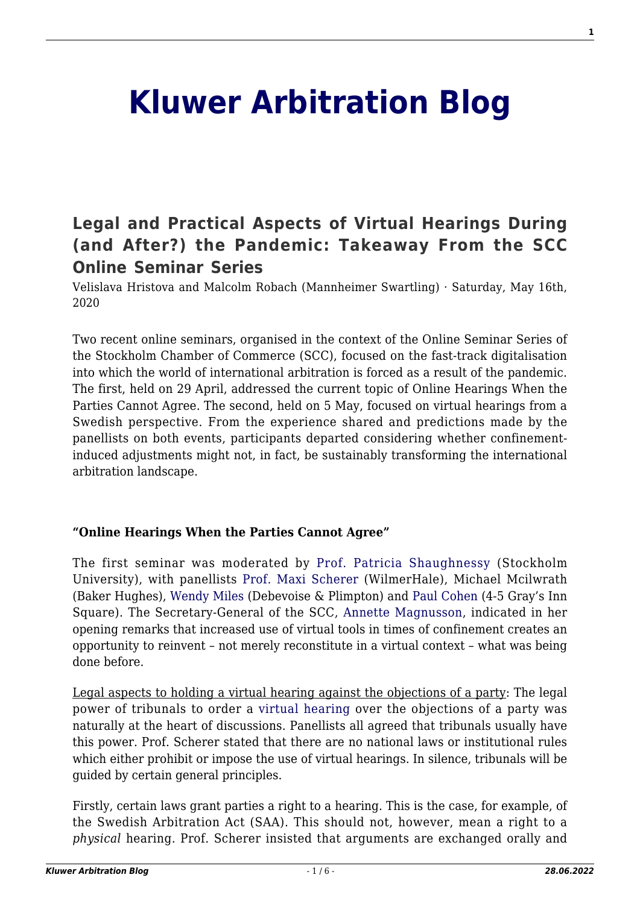# **[Kluwer Arbitration Blog](http://arbitrationblog.kluwerarbitration.com/)**

# **[Legal and Practical Aspects of Virtual Hearings During](http://arbitrationblog.kluwerarbitration.com/2020/05/16/legal-and-practical-aspects-of-virtual-hearings-during-and-after-the-pandemic-takeaway-from-the-scc-online-seminar-series/) [\(and After?\) the Pandemic: Takeaway From the SCC](http://arbitrationblog.kluwerarbitration.com/2020/05/16/legal-and-practical-aspects-of-virtual-hearings-during-and-after-the-pandemic-takeaway-from-the-scc-online-seminar-series/) [Online Seminar Series](http://arbitrationblog.kluwerarbitration.com/2020/05/16/legal-and-practical-aspects-of-virtual-hearings-during-and-after-the-pandemic-takeaway-from-the-scc-online-seminar-series/)**

Velislava Hristova and Malcolm Robach (Mannheimer Swartling) · Saturday, May 16th, 2020

Two recent online seminars, organised in the context of the Online Seminar Series of the Stockholm Chamber of Commerce (SCC), focused on the fast-track digitalisation into which the world of international arbitration is forced as a result of the pandemic. The first, held on 29 April, addressed the current topic of Online Hearings When the Parties Cannot Agree. The second, held on 5 May, focused on virtual hearings from a Swedish perspective. From the experience shared and predictions made by the panellists on both events, participants departed considering whether confinementinduced adjustments might not, in fact, be sustainably transforming the international arbitration landscape.

# **"Online Hearings When the Parties Cannot Agree"**

The first seminar was moderated by [Prof. Patricia Shaughnessy](https://fastreg.juridicum.su.se/kursweb/Presentation.aspx?MomentID=2124&termin=H13&id=255) (Stockholm University), with panellists [Prof. Maxi Scherer](https://www.wilmerhale.com/en/people/maxi-scherer) (WilmerHale), Michael Mcilwrath (Baker Hughes), [Wendy Miles](https://www.debevoise.com/wendymiles) (Debevoise & Plimpton) and [Paul Cohen](https://www.4-5.co.uk/barristers/profile/paul-h-cohen) (4-5 Gray's Inn Square). The Secretary-General of the SCC, [Annette Magnusson](https://sccinstitute.com/about-the-scc/the-secretariat/), indicated in her opening remarks that increased use of virtual tools in times of confinement creates an opportunity to reinvent – not merely reconstitute in a virtual context – what was being done before.

Legal aspects to holding a virtual hearing against the objections of a party: The legal power of tribunals to order a [virtual hearing](http://arbitrationblog.kluwerarbitration.com/2020/04/26/offline-or-online-virtual-hearings-or-odr/) over the objections of a party was naturally at the heart of discussions. Panellists all agreed that tribunals usually have this power. Prof. Scherer stated that there are no national laws or institutional rules which either prohibit or impose the use of virtual hearings. In silence, tribunals will be guided by certain general principles.

Firstly, certain laws grant parties a right to a hearing. This is the case, for example, of the Swedish Arbitration Act (SAA). This should not, however, mean a right to a *physical* hearing. Prof. Scherer insisted that arguments are exchanged orally and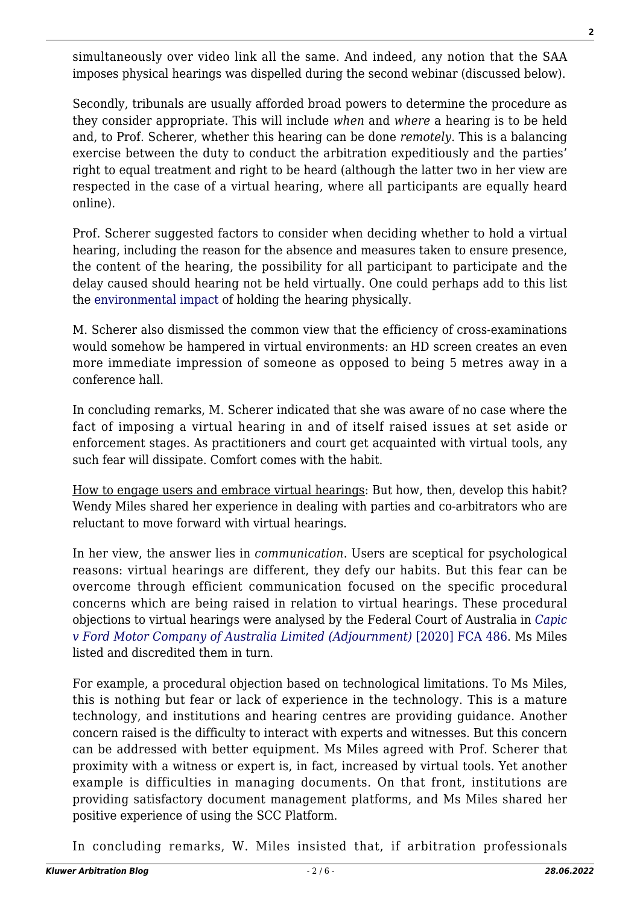simultaneously over video link all the same. And indeed, any notion that the SAA imposes physical hearings was dispelled during the second webinar (discussed below).

Secondly, tribunals are usually afforded broad powers to determine the procedure as they consider appropriate. This will include *when* and *where* a hearing is to be held and, to Prof. Scherer, whether this hearing can be done *remotely*. This is a balancing exercise between the duty to conduct the arbitration expeditiously and the parties' right to equal treatment and right to be heard (although the latter two in her view are respected in the case of a virtual hearing, where all participants are equally heard online).

Prof. Scherer suggested factors to consider when deciding whether to hold a virtual hearing, including the reason for the absence and measures taken to ensure presence, the content of the hearing, the possibility for all participant to participate and the delay caused should hearing not be held virtually. One could perhaps add to this list the [environmental impact](http://arbitrationblog.kluwerarbitration.com/2020/03/20/the-green-pledge-no-talk-more-action/?doing_wp_cron=1588930534.1599860191345214843750) of holding the hearing physically.

M. Scherer also dismissed the common view that the efficiency of cross-examinations would somehow be hampered in virtual environments: an HD screen creates an even more immediate impression of someone as opposed to being 5 metres away in a conference hall.

In concluding remarks, M. Scherer indicated that she was aware of no case where the fact of imposing a virtual hearing in and of itself raised issues at set aside or enforcement stages. As practitioners and court get acquainted with virtual tools, any such fear will dissipate. Comfort comes with the habit.

How to engage users and embrace virtual hearings: But how, then, develop this habit? Wendy Miles shared her experience in dealing with parties and co-arbitrators who are reluctant to move forward with virtual hearings.

In her view, the answer lies in *communication*. Users are sceptical for psychological reasons: virtual hearings are different, they defy our habits. But this fear can be overcome through efficient communication focused on the specific procedural concerns which are being raised in relation to virtual hearings. These procedural objections to virtual hearings were analysed by the Federal Court of Australia in *[Capic](https://www.judgments.fedcourt.gov.au/judgments/Judgments/fca/single/2020/2020fca0486) [v Ford Motor Company of Australia Limited \(Adjournment\)](https://www.judgments.fedcourt.gov.au/judgments/Judgments/fca/single/2020/2020fca0486)* [\[2020\] FCA 486](https://www.judgments.fedcourt.gov.au/judgments/Judgments/fca/single/2020/2020fca0486). Ms Miles listed and discredited them in turn.

For example, a procedural objection based on technological limitations. To Ms Miles, this is nothing but fear or lack of experience in the technology. This is a mature technology, and institutions and hearing centres are providing guidance. Another concern raised is the difficulty to interact with experts and witnesses. But this concern can be addressed with better equipment. Ms Miles agreed with Prof. Scherer that proximity with a witness or expert is, in fact, increased by virtual tools. Yet another example is difficulties in managing documents. On that front, institutions are providing satisfactory document management platforms, and Ms Miles shared her positive experience of using the SCC Platform.

In concluding remarks, W. Miles insisted that, if arbitration professionals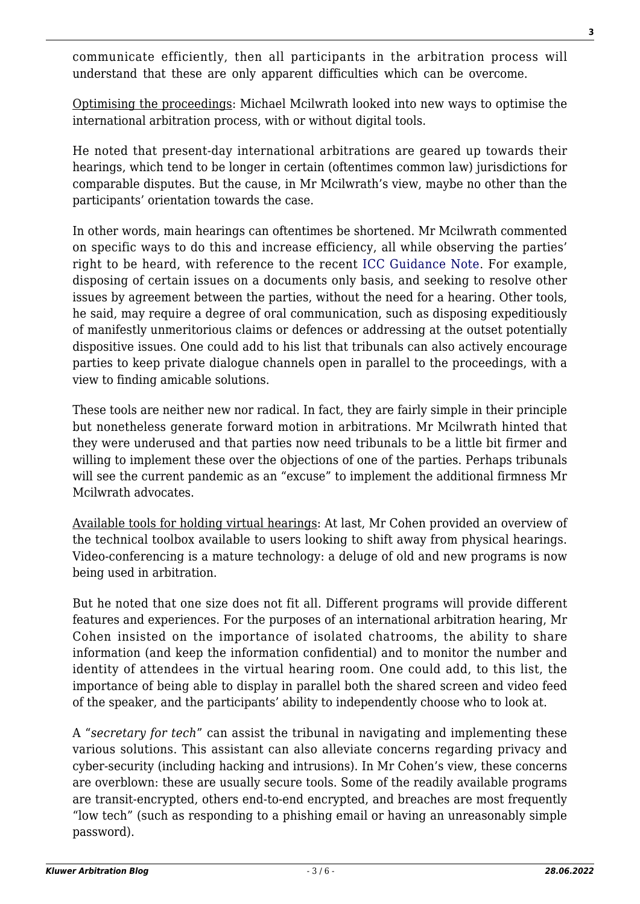communicate efficiently, then all participants in the arbitration process will understand that these are only apparent difficulties which can be overcome.

Optimising the proceedings: Michael Mcilwrath looked into new ways to optimise the international arbitration process, with or without digital tools.

He noted that present-day international arbitrations are geared up towards their hearings, which tend to be longer in certain (oftentimes common law) jurisdictions for comparable disputes. But the cause, in Mr Mcilwrath's view, maybe no other than the participants' orientation towards the case.

In other words, main hearings can oftentimes be shortened. Mr Mcilwrath commented on specific ways to do this and increase efficiency, all while observing the parties' right to be heard, with reference to the recent [ICC Guidance Note](http://arbitrationblog.kluwerarbitration.com/2020/04/26/offline-or-online-virtual-hearings-or-odr/). For example, disposing of certain issues on a documents only basis, and seeking to resolve other issues by agreement between the parties, without the need for a hearing. Other tools, he said, may require a degree of oral communication, such as disposing expeditiously of manifestly unmeritorious claims or defences or addressing at the outset potentially dispositive issues. One could add to his list that tribunals can also actively encourage parties to keep private dialogue channels open in parallel to the proceedings, with a view to finding amicable solutions.

These tools are neither new nor radical. In fact, they are fairly simple in their principle but nonetheless generate forward motion in arbitrations. Mr Mcilwrath hinted that they were underused and that parties now need tribunals to be a little bit firmer and willing to implement these over the objections of one of the parties. Perhaps tribunals will see the current pandemic as an "excuse" to implement the additional firmness Mr Mcilwrath advocates.

Available tools for holding virtual hearings: At last, Mr Cohen provided an overview of the technical toolbox available to users looking to shift away from physical hearings. Video-conferencing is a mature technology: a deluge of old and new programs is now being used in arbitration.

But he noted that one size does not fit all. Different programs will provide different features and experiences. For the purposes of an international arbitration hearing, Mr Cohen insisted on the importance of isolated chatrooms, the ability to share information (and keep the information confidential) and to monitor the number and identity of attendees in the virtual hearing room. One could add, to this list, the importance of being able to display in parallel both the shared screen and video feed of the speaker, and the participants' ability to independently choose who to look at.

A "*secretary for tech*" can assist the tribunal in navigating and implementing these various solutions. This assistant can also alleviate concerns regarding privacy and cyber-security (including hacking and intrusions). In Mr Cohen's view, these concerns are overblown: these are usually secure tools. Some of the readily available programs are transit-encrypted, others end-to-end encrypted, and breaches are most frequently "low tech" (such as responding to a phishing email or having an unreasonably simple password).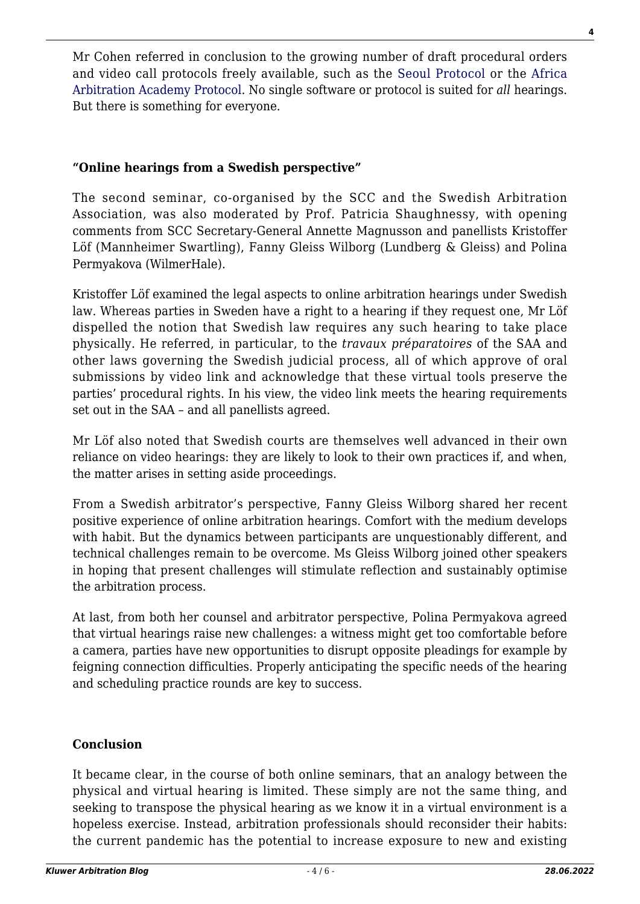Mr Cohen referred in conclusion to the growing number of draft procedural orders and video call protocols freely available, such as the [Seoul Protocol](http://arbitrationblog.kluwerarbitration.com/2020/04/06/safeguarding-the-future-of-arbitration-seoul-protocol-tackles-the-risks-of-videoconferencing/) or the [Africa](http://arbitrationblog.kluwerarbitration.com/2020/05/07/africa-arbitration-academy-takes-over-the-baton-on-thought-leadershiplaunches-virtual-hearing-protocol-in-africa-for-africa/) [Arbitration Academy Protocol.](http://arbitrationblog.kluwerarbitration.com/2020/05/07/africa-arbitration-academy-takes-over-the-baton-on-thought-leadershiplaunches-virtual-hearing-protocol-in-africa-for-africa/) No single software or protocol is suited for *all* hearings. But there is something for everyone.

# **"Online hearings from a Swedish perspective"**

The second seminar, co-organised by the SCC and the Swedish Arbitration Association, was also moderated by Prof. Patricia Shaughnessy, with opening comments from SCC Secretary-General Annette Magnusson and panellists Kristoffer Löf (Mannheimer Swartling), Fanny Gleiss Wilborg (Lundberg & Gleiss) and Polina Permyakova (WilmerHale).

Kristoffer Löf examined the legal aspects to online arbitration hearings under Swedish law. Whereas parties in Sweden have a right to a hearing if they request one, Mr Löf dispelled the notion that Swedish law requires any such hearing to take place physically. He referred, in particular, to the *travaux préparatoires* of the SAA and other laws governing the Swedish judicial process, all of which approve of oral submissions by video link and acknowledge that these virtual tools preserve the parties' procedural rights. In his view, the video link meets the hearing requirements set out in the SAA – and all panellists agreed.

Mr Löf also noted that Swedish courts are themselves well advanced in their own reliance on video hearings: they are likely to look to their own practices if, and when, the matter arises in setting aside proceedings.

From a Swedish arbitrator's perspective, Fanny Gleiss Wilborg shared her recent positive experience of online arbitration hearings. Comfort with the medium develops with habit. But the dynamics between participants are unquestionably different, and technical challenges remain to be overcome. Ms Gleiss Wilborg joined other speakers in hoping that present challenges will stimulate reflection and sustainably optimise the arbitration process.

At last, from both her counsel and arbitrator perspective, Polina Permyakova agreed that virtual hearings raise new challenges: a witness might get too comfortable before a camera, parties have new opportunities to disrupt opposite pleadings for example by feigning connection difficulties. Properly anticipating the specific needs of the hearing and scheduling practice rounds are key to success.

# **Conclusion**

It became clear, in the course of both online seminars, that an analogy between the physical and virtual hearing is limited. These simply are not the same thing, and seeking to transpose the physical hearing as we know it in a virtual environment is a hopeless exercise. Instead, arbitration professionals should reconsider their habits: the current pandemic has the potential to increase exposure to new and existing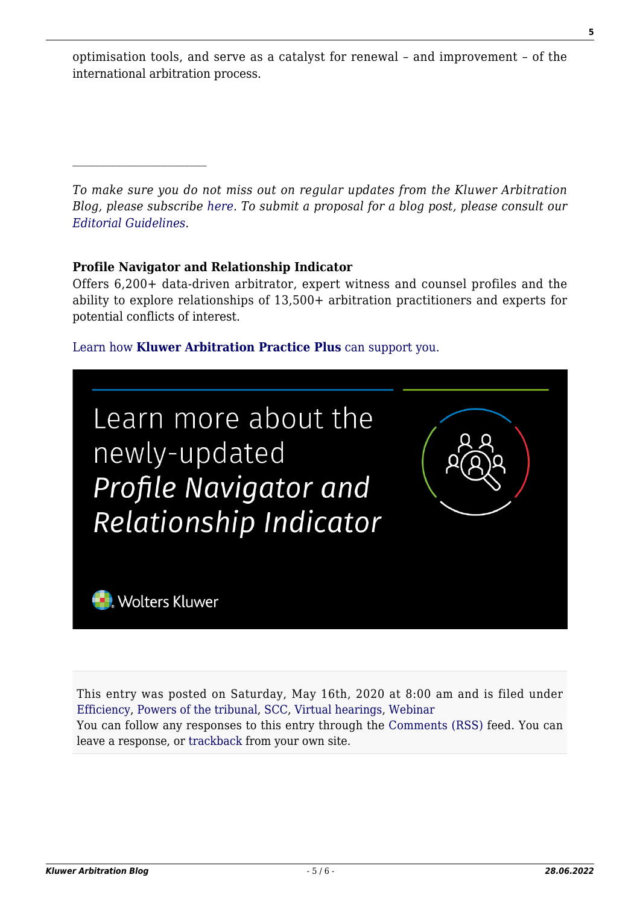optimisation tools, and serve as a catalyst for renewal – and improvement – of the international arbitration process.

*To make sure you do not miss out on regular updates from the Kluwer Arbitration Blog, please subscribe [here](http://arbitrationblog.kluwerarbitration.com/newsletter/). To submit a proposal for a blog post, please consult our [Editorial Guidelines.](http://arbitrationblog.kluwerarbitration.com/editorial-guidelines/)*

# **Profile Navigator and Relationship Indicator**

 $\mathcal{L}_\text{max}$ 

Offers 6,200+ data-driven arbitrator, expert witness and counsel profiles and the ability to explore relationships of 13,500+ arbitration practitioners and experts for potential conflicts of interest.

#### [Learn how](https://www.wolterskluwer.com/en/solutions/kluwerarbitration/practiceplus?utm_source=arbitrationblog&utm_medium=articleCTA&utm_campaign=article-banner) **[Kluwer Arbitration Practice Plus](https://www.wolterskluwer.com/en/solutions/kluwerarbitration/practiceplus?utm_source=arbitrationblog&utm_medium=articleCTA&utm_campaign=article-banner)** [can support you.](https://www.wolterskluwer.com/en/solutions/kluwerarbitration/practiceplus?utm_source=arbitrationblog&utm_medium=articleCTA&utm_campaign=article-banner)



This entry was posted on Saturday, May 16th, 2020 at 8:00 am and is filed under [Efficiency](http://arbitrationblog.kluwerarbitration.com/category/efficiency/), [Powers of the tribunal,](http://arbitrationblog.kluwerarbitration.com/category/powers-of-the-tribunal/) [SCC,](http://arbitrationblog.kluwerarbitration.com/category/scc/) [Virtual hearings,](http://arbitrationblog.kluwerarbitration.com/category/virtual-hearings/) [Webinar](http://arbitrationblog.kluwerarbitration.com/category/webinar/) You can follow any responses to this entry through the [Comments \(RSS\)](http://arbitrationblog.kluwerarbitration.com/comments/feed/) feed. You can leave a response, or [trackback](http://arbitrationblog.kluwerarbitration.com/2020/05/16/legal-and-practical-aspects-of-virtual-hearings-during-and-after-the-pandemic-takeaway-from-the-scc-online-seminar-series/trackback/) from your own site.

**5**